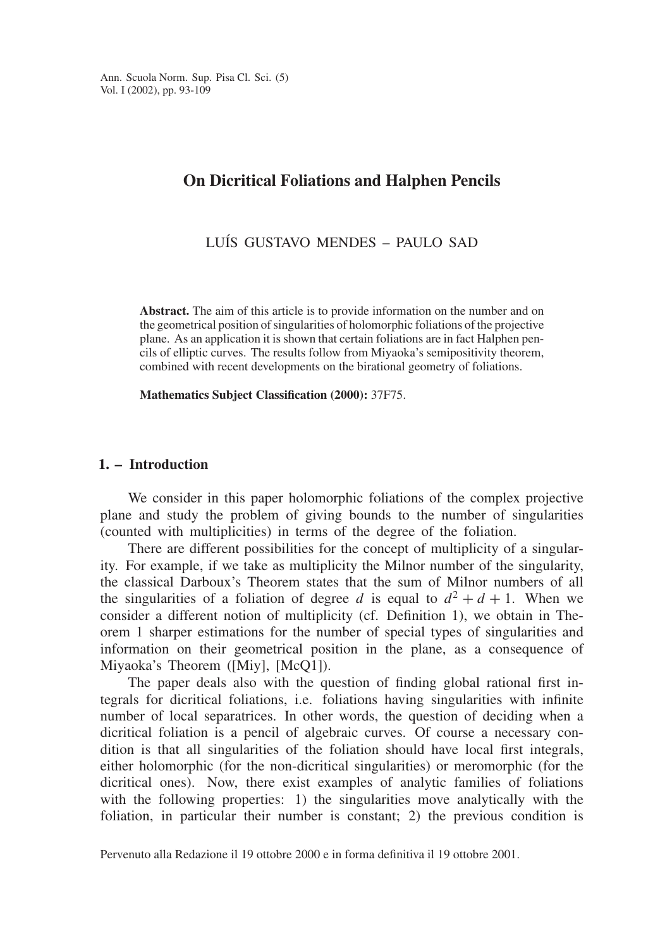# **On Dicritical Foliations and Halphen Pencils**

LUÍS GUSTAVO MENDES - PAULO SAD

**Abstract.** The aim of this article is to provide information on the number and on the geometrical position of singularities of holomorphic foliations of the projective plane. As an application it is shown that certain foliations are in fact Halphen pencils of elliptic curves. The results follow from Miyaoka's semipositivity theorem, combined with recent developments on the birational geometry of foliations.

**Mathematics Subject Classification (2000):** 37F75.

# **1. – Introduction**

We consider in this paper holomorphic foliations of the complex projective plane and study the problem of giving bounds to the number of singularities (counted with multiplicities) in terms of the degree of the foliation.

There are different possibilities for the concept of multiplicity of a singularity. For example, if we take as multiplicity the Milnor number of the singularity, the classical Darboux's Theorem states that the sum of Milnor numbers of all the singularities of a foliation of degree *d* is equal to  $d^2 + d + 1$ . When we consider a different notion of multiplicity (cf. Definition 1), we obtain in Theorem 1 sharper estimations for the number of special types of singularities and information on their geometrical position in the plane, as a consequence of Miyaoka's Theorem ([Miy], [McQ1]).

The paper deals also with the question of finding global rational first integrals for dicritical foliations, i.e. foliations having singularities with infinite number of local separatrices. In other words, the question of deciding when a dicritical foliation is a pencil of algebraic curves. Of course a necessary condition is that all singularities of the foliation should have local first integrals, either holomorphic (for the non-dicritical singularities) or meromorphic (for the dicritical ones). Now, there exist examples of analytic families of foliations with the following properties: 1) the singularities move analytically with the foliation, in particular their number is constant; 2) the previous condition is

Pervenuto alla Redazione il 19 ottobre 2000 e in forma definitiva il 19 ottobre 2001.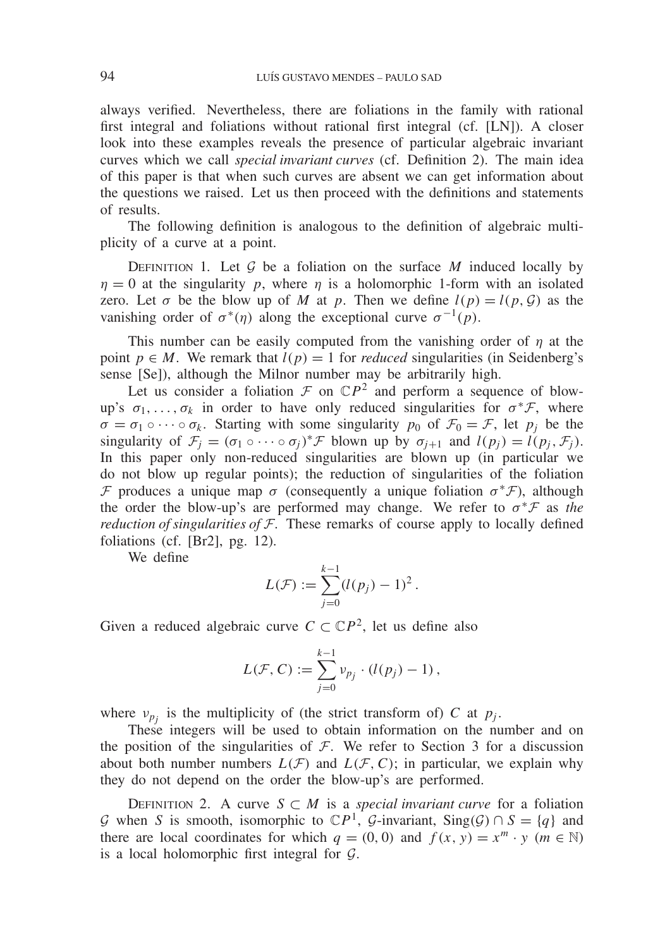always verified. Nevertheless, there are foliations in the family with rational first integral and foliations without rational first integral (cf. [LN]). A closer look into these examples reveals the presence of particular algebraic invariant curves which we call *special invariant curves* (cf. Definition 2). The main idea of this paper is that when such curves are absent we can get information about the questions we raised. Let us then proceed with the definitions and statements of results.

The following definition is analogous to the definition of algebraic multiplicity of a curve at a point.

DEFINITION 1. Let  $G$  be a foliation on the surface  $M$  induced locally by  $\eta = 0$  at the singularity *p*, where  $\eta$  is a holomorphic 1-form with an isolated zero. Let  $\sigma$  be the blow up of *M* at *p*. Then we define  $l(p) = l(p, G)$  as the vanishing order of  $\sigma^*(\eta)$  along the exceptional curve  $\sigma^{-1}(\rho)$ .

This number can be easily computed from the vanishing order of  $\eta$  at the point  $p \in M$ . We remark that  $l(p) = 1$  for *reduced* singularities (in Seidenberg's sense [Se]), although the Milnor number may be arbitrarily high.

Let us consider a foliation  $\mathcal F$  on  $\mathbb C P^2$  and perform a sequence of blowup's  $\sigma_1, \ldots, \sigma_k$  in order to have only reduced singularities for  $\sigma^* \mathcal{F}$ , where  $\sigma = \sigma_1 \circ \cdots \circ \sigma_k$ . Starting with some singularity  $p_0$  of  $\mathcal{F}_0 = \mathcal{F}$ , let  $p_i$  be the singularity of  $\mathcal{F}_j = (\sigma_1 \circ \cdots \circ \sigma_j)^* \mathcal{F}$  blown up by  $\sigma_{j+1}$  and  $l(p_j) = l(p_j, \mathcal{F}_j)$ . In this paper only non-reduced singularities are blown up (in particular we do not blow up regular points); the reduction of singularities of the foliation F produces a unique map  $\sigma$  (consequently a unique foliation  $\sigma^*$ F), although the order the blow-up's are performed may change. We refer to <sup>σ</sup>∗<sup>F</sup> as *the reduction of singularities of*  $F$ . These remarks of course apply to locally defined foliations (cf. [Br2], pg. 12).

We define

$$
L(\mathcal{F}) := \sum_{j=0}^{k-1} (l(p_j) - 1)^2.
$$

Given a reduced algebraic curve  $C \subset \mathbb{C}P^2$ , let us define also

$$
L(\mathcal{F}, C) := \sum_{j=0}^{k-1} v_{p_j} \cdot (l(p_j) - 1),
$$

where  $v_{p_i}$  is the multiplicity of (the strict transform of) *C* at  $p_j$ .

These integers will be used to obtain information on the number and on the position of the singularities of  $F$ . We refer to Section 3 for a discussion about both number numbers  $L(F)$  and  $L(F, C)$ ; in particular, we explain why they do not depend on the order the blow-up's are performed.

DEFINITION 2. A curve  $S \subset M$  is a *special invariant curve* for a foliation *G* when *S* is smooth, isomorphic to  $\mathbb{C}P$ <sup>1</sup>, *G*-invariant, Sing(*G*) ∩ *S* = {*q*} and there are local coordinates for which  $q = (0, 0)$  and  $f(x, y) = x^m \cdot y$  ( $m \in \mathbb{N}$ ) is a local holomorphic first integral for  $G$ .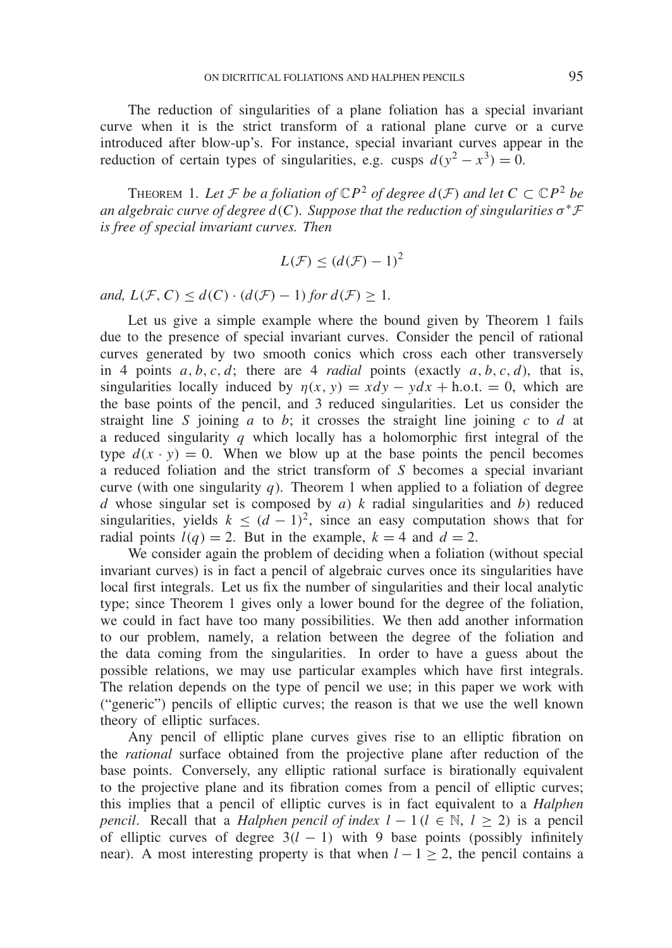The reduction of singularities of a plane foliation has a special invariant curve when it is the strict transform of a rational plane curve or a curve introduced after blow-up's. For instance, special invariant curves appear in the reduction of certain types of singularities, e.g. cusps  $d(y^2 - x^3) = 0$ .

THEOREM 1. Let *F be a foliation of*  $\mathbb{C}P^2$  *of degree*  $d(\mathcal{F})$  *and let*  $C \subset \mathbb{C}P^2$  *be an algebraic curve of degree d(C). Suppose that the reduction of singularities*  $\sigma^* \mathcal{F}$ *is free of special invariant curves. Then*

$$
L(\mathcal{F}) \le (d(\mathcal{F}) - 1)^2
$$

*and,*  $L(F, C) \leq d(C) \cdot (d(F) - 1)$  *for*  $d(F) \geq 1$ *.* 

Let us give a simple example where the bound given by Theorem 1 fails due to the presence of special invariant curves. Consider the pencil of rational curves generated by two smooth conics which cross each other transversely in 4 points  $a, b, c, d$ ; there are 4 *radial* points (exactly  $a, b, c, d$ ), that is, singularities locally induced by  $\eta(x, y) = x dy - y dx + h.o.t. = 0$ , which are the base points of the pencil, and 3 reduced singularities. Let us consider the straight line *S* joining *a* to *b*; it crosses the straight line joining *c* to *d* at a reduced singularity  $q$  which locally has a holomorphic first integral of the type  $d(x \cdot y) = 0$ . When we blow up at the base points the pencil becomes a reduced foliation and the strict transform of *S* becomes a special invariant curve (with one singularity  $q$ ). Theorem 1 when applied to a foliation of degree *d* whose singular set is composed by *a*) *k* radial singularities and *b*) reduced singularities, yields  $k \leq (d-1)^2$ , since an easy computation shows that for radial points  $l(q) = 2$ . But in the example,  $k = 4$  and  $d = 2$ .

We consider again the problem of deciding when a foliation (without special invariant curves) is in fact a pencil of algebraic curves once its singularities have local first integrals. Let us fix the number of singularities and their local analytic type; since Theorem 1 gives only a lower bound for the degree of the foliation, we could in fact have too many possibilities. We then add another information to our problem, namely, a relation between the degree of the foliation and the data coming from the singularities. In order to have a guess about the possible relations, we may use particular examples which have first integrals. The relation depends on the type of pencil we use; in this paper we work with ("generic") pencils of elliptic curves; the reason is that we use the well known theory of elliptic surfaces.

Any pencil of elliptic plane curves gives rise to an elliptic fibration on the *rational* surface obtained from the projective plane after reduction of the base points. Conversely, any elliptic rational surface is birationally equivalent to the projective plane and its fibration comes from a pencil of elliptic curves; this implies that a pencil of elliptic curves is in fact equivalent to a *Halphen pencil.* Recall that a *Halphen pencil of index*  $l - 1$  ( $l \in \mathbb{N}$ ,  $l \ge 2$ ) is a pencil of elliptic curves of degree  $3(l - 1)$  with 9 base points (possibly infinitely near). A most interesting property is that when  $l - 1 \geq 2$ , the pencil contains a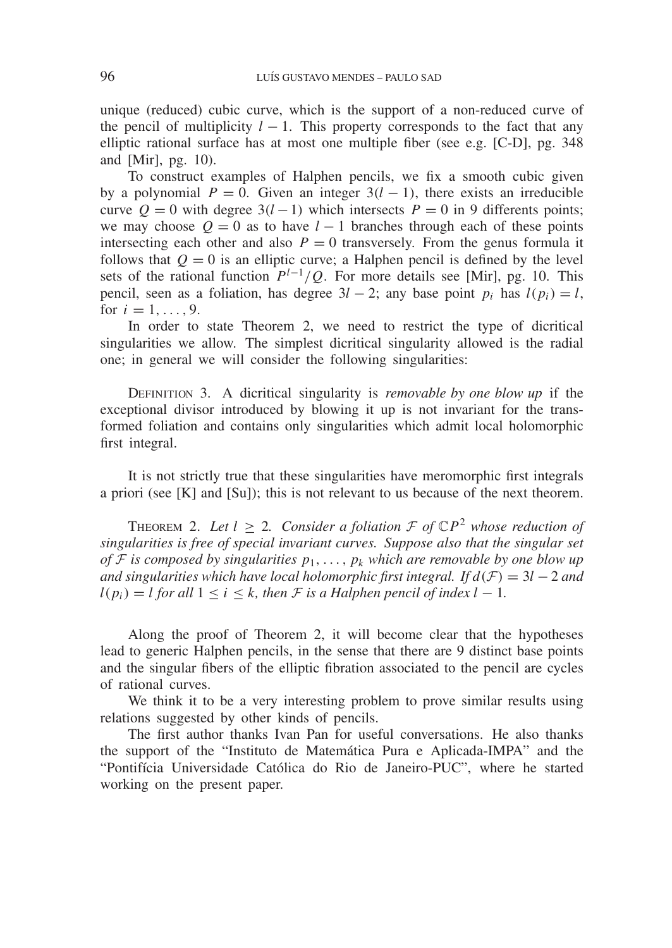unique (reduced) cubic curve, which is the support of a non-reduced curve of the pencil of multiplicity  $l - 1$ . This property corresponds to the fact that any elliptic rational surface has at most one multiple fiber (see e.g. [C-D], pg. 348 and [Mir], pg. 10).

To construct examples of Halphen pencils, we fix a smooth cubic given by a polynomial  $P = 0$ . Given an integer  $3(l - 1)$ , there exists an irreducible curve  $Q = 0$  with degree  $3(l-1)$  which intersects  $P = 0$  in 9 differents points; we may choose  $Q = 0$  as to have  $l - 1$  branches through each of these points intersecting each other and also  $P = 0$  transversely. From the genus formula it follows that  $Q = 0$  is an elliptic curve; a Halphen pencil is defined by the level sets of the rational function  $P^{l-1}/Q$ . For more details see [Mir], pg. 10. This pencil, seen as a foliation, has degree  $3l - 2$ ; any base point *p<sub>i</sub>* has  $l(p_i) = l$ , for  $i = 1, ..., 9$ .

In order to state Theorem 2, we need to restrict the type of dicritical singularities we allow. The simplest dicritical singularity allowed is the radial one; in general we will consider the following singularities:

Definition 3. A dicritical singularity is *removable by one blow up* if the exceptional divisor introduced by blowing it up is not invariant for the transformed foliation and contains only singularities which admit local holomorphic first integral.

It is not strictly true that these singularities have meromorphic first integrals a priori (see [K] and [Su]); this is not relevant to us because of the next theorem.

THEOREM 2. Let  $l \geq 2$ . Consider a foliation  $\mathcal F$  of  $\mathbb{C}P^2$  whose reduction of *singularities is free of special invariant curves. Suppose also that the singular set of*  $F$  *is composed by singularities*  $p_1, \ldots, p_k$  *which are removable by one blow up and singularities which have local holomorphic first integral. If*  $d(F) = 3l - 2$  *and*  $l(p_i) = l$  *for all*  $1 \le i \le k$ *, then F is a Halphen pencil of index*  $l - 1$ *.* 

Along the proof of Theorem 2, it will become clear that the hypotheses lead to generic Halphen pencils, in the sense that there are 9 distinct base points and the singular fibers of the elliptic fibration associated to the pencil are cycles of rational curves.

We think it to be a very interesting problem to prove similar results using relations suggested by other kinds of pencils.

The first author thanks Ivan Pan for useful conversations. He also thanks the support of the "Instituto de Matemática Pura e Aplicada-IMPA" and the "Pontifícia Universidade Católica do Rio de Janeiro-PUC", where he started working on the present paper.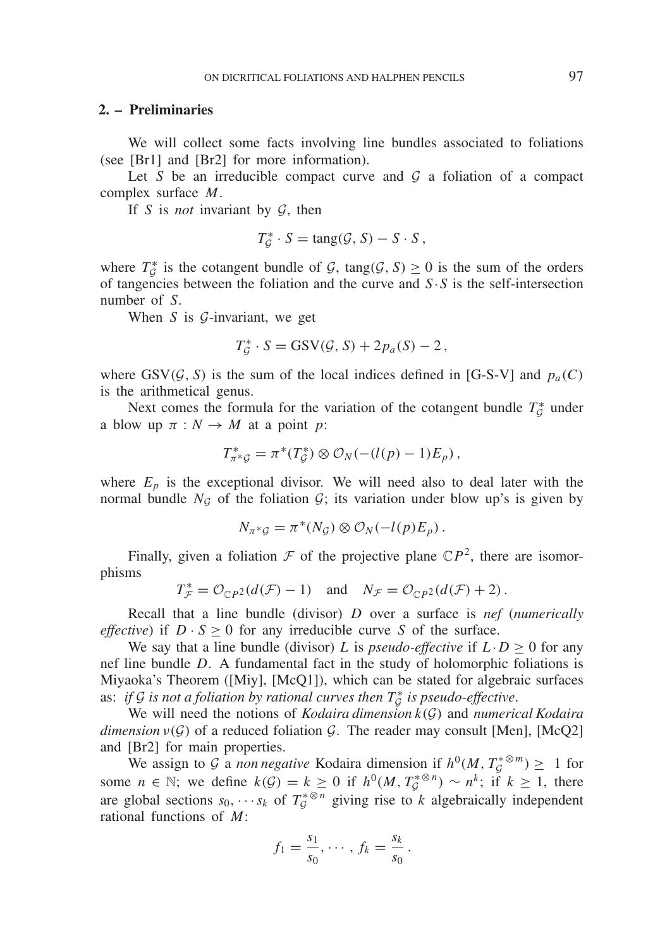#### **2. – Preliminaries**

We will collect some facts involving line bundles associated to foliations (see [Br1] and [Br2] for more information).

Let *S* be an irreducible compact curve and  $G$  a foliation of a compact complex surface *M*.

If *S* is *not* invariant by G, then

$$
T_{\mathcal{G}}^* \cdot S = \text{tang}(\mathcal{G}, S) - S \cdot S,
$$

where  $T_{\mathcal{G}}^*$  is the cotangent bundle of  $\mathcal{G}$ , tang( $\mathcal{G}$ ,  $S$ )  $\geq$  0 is the sum of the orders of tangencies between the foliation and the curve and *S*·*S* is the self-intersection number of *S*.

When *S* is *G*-invariant, we get

$$
T_{\mathcal{G}}^* \cdot S = \text{GSV}(\mathcal{G}, S) + 2p_a(S) - 2,
$$

where GSV( $\mathcal{G}, S$ ) is the sum of the local indices defined in [G-S-V] and  $p_a(C)$ is the arithmetical genus.

Next comes the formula for the variation of the cotangent bundle  $T_g^*$  under a blow up  $\pi : N \to M$  at a point *p*:

$$
T_{\pi^*g}^* = \pi^*(T_g^*) \otimes \mathcal{O}_N(-(l(p)-1)E_p),
$$

where  $E_p$  is the exceptional divisor. We will need also to deal later with the normal bundle  $N_g$  of the foliation  $\mathcal{G}$ ; its variation under blow up's is given by

$$
N_{\pi^* \mathcal{G}} = \pi^*(N_{\mathcal{G}}) \otimes \mathcal{O}_N(-l(p)E_p).
$$

Finally, given a foliation  $\mathcal F$  of the projective plane  $\mathbb{C}P^2$ , there are isomorphisms

$$
T_{\mathcal{F}}^* = \mathcal{O}_{\mathbb{C}P^2}(d(\mathcal{F}) - 1) \quad \text{and} \quad N_{\mathcal{F}} = \mathcal{O}_{\mathbb{C}P^2}(d(\mathcal{F}) + 2).
$$

Recall that a line bundle (divisor) *D* over a surface is *nef* (*numerically effective*) if  $D \cdot S > 0$  for any irreducible curve *S* of the surface.

We say that a line bundle (divisor) *L* is *pseudo-effective* if  $L \cdot D \ge 0$  for any nef line bundle *D*. A fundamental fact in the study of holomorphic foliations is Miyaoka's Theorem ([Miy], [McQ1]), which can be stated for algebraic surfaces as: *if* G *is not a foliation by rational curves then*  $T^*_\mathcal{G}$  *is pseudo-effective*.

We will need the notions of *Kodaira dimension k*(G) and *numerical Kodaira dimension*  $\nu(\mathcal{G})$  of a reduced foliation  $\mathcal{G}$ . The reader may consult [Men], [McQ2] and [Br2] for main properties.

We assign to G a *non negative* Kodaira dimension if  $h^0(M, T^*_{\mathcal{G}} \mathbb{R}^m) \geq 1$  for some  $n \in \mathbb{N}$ ; we define  $k(G) = k \ge 0$  if  $h^0(M, T_G^{* \otimes n}) \sim n^k$ ; if  $k \ge 1$ , there are global sections  $s_0$ , ···  $s_k$  of  $T_{\mathcal{G}}^{*\otimes n}$  giving rise to  $\mathcal{K}$  algebraically independent rational functions of *M*:

$$
f_1 = \frac{s_1}{s_0}, \cdots, f_k = \frac{s_k}{s_0}.
$$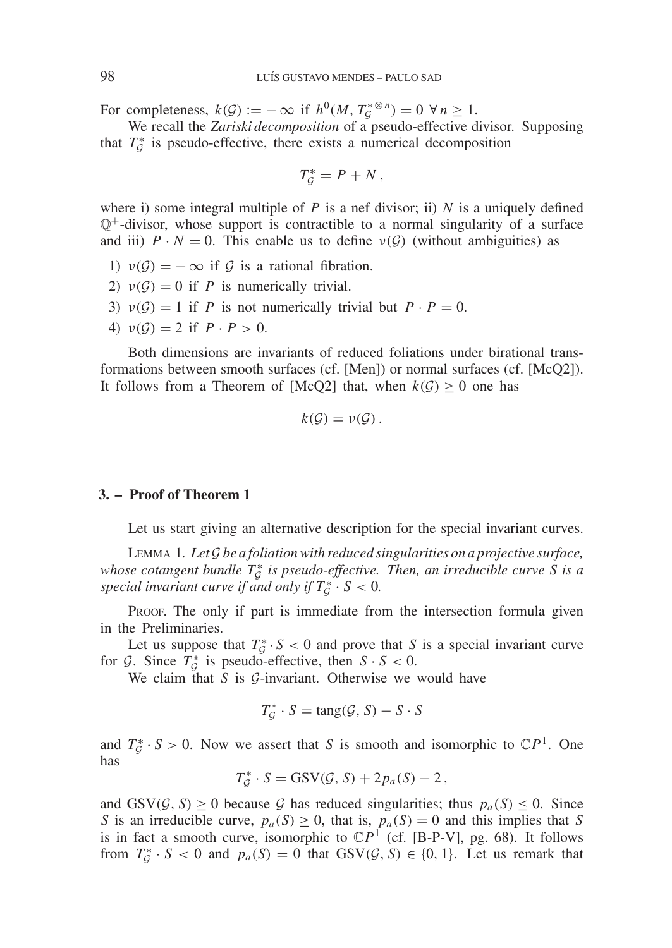For completeness,  $k(G) := -\infty$  if  $h^0(M, T^*_{G} \otimes n) = 0 \ \forall n \ge 1$ .

We recall the *Zariski decomposition* of a pseudo-effective divisor. Supposing that  $T_{\mathcal{G}}^*$  is pseudo-effective, there exists a numerical decomposition

$$
T_{\mathcal{G}}^* = P + N \,,
$$

where i) some integral multiple of  $P$  is a nef divisor; ii)  $N$  is a uniquely defined  $\mathbb{O}^+$ -divisor, whose support is contractible to a normal singularity of a surface and iii)  $P \cdot N = 0$ . This enable us to define  $\nu(G)$  (without ambiguities) as

- 1)  $v(\mathcal{G}) = -\infty$  if  $\mathcal G$  is a rational fibration.
- 2)  $v(G) = 0$  if *P* is numerically trivial.
- 3)  $v(G) = 1$  if *P* is not numerically trivial but  $P \cdot P = 0$ .
- 4)  $v(G) = 2$  if  $P \cdot P > 0$ .

Both dimensions are invariants of reduced foliations under birational transformations between smooth surfaces (cf. [Men]) or normal surfaces (cf. [McQ2]). It follows from a Theorem of [McQ2] that, when  $k(G) \geq 0$  one has

$$
k(\mathcal{G})=\nu(\mathcal{G})\,.
$$

#### **3. – Proof of Theorem 1**

Let us start giving an alternative description for the special invariant curves.

Lemma 1. *Let* G *be a foliation with reduced singularities on a projective surface, whose cotangent bundle T*<sup>\*</sup> *is pseudo-effective. Then, an irreducible curve S is a special invariant curve if and only if*  $T^*_\mathcal{G} \cdot S < 0$ .

Proof. The only if part is immediate from the intersection formula given in the Preliminaries.

Let us suppose that  $T_g^* \cdot S < 0$  and prove that *S* is a special invariant curve for  $G$ . Since  $T_G^*$  is pseudo-effective, then  $S \cdot S < 0$ .

We claim that *S* is *G*-invariant. Otherwise we would have

$$
T_{\mathcal{G}}^* \cdot S = \text{tang}(\mathcal{G}, S) - S \cdot S
$$

and  $T_g^* \cdot S > 0$ . Now we assert that *S* is smooth and isomorphic to  $\mathbb{C}P^1$ . One has

$$
T_{\mathcal{G}}^* \cdot S = \text{GSV}(\mathcal{G}, S) + 2p_a(S) - 2,
$$

and  $GSV(\mathcal{G}, S) \ge 0$  because  $\mathcal{G}$  has reduced singularities; thus  $p_a(S) \le 0$ . Since *S* is an irreducible curve,  $p_a(S) \ge 0$ , that is,  $p_a(S) = 0$  and this implies that *S* is in fact a smooth curve, isomorphic to  $\mathbb{C}P^1$  (cf. [B-P-V], pg. 68). It follows from  $T^*_\mathcal{G} \cdot S < 0$  and  $p_a(S) = 0$  that  $GSV(\mathcal{G}, S) \in \{0, 1\}$ . Let us remark that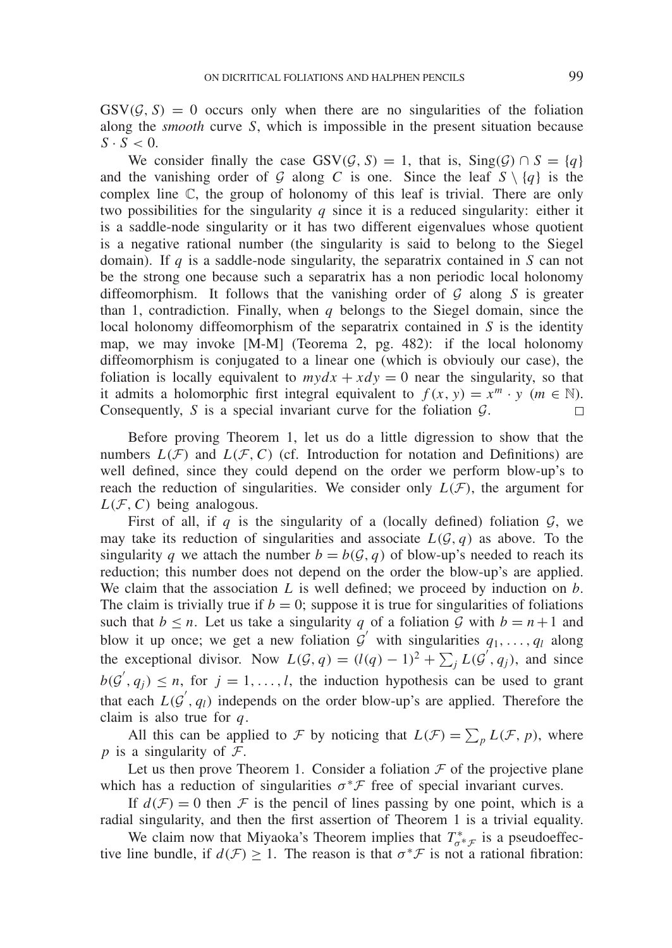$GSV(\mathcal{G}, S) = 0$  occurs only when there are no singularities of the foliation along the *smooth* curve *S*, which is impossible in the present situation because  $S \cdot S < 0$ .

We consider finally the case  $GSV(G, S) = 1$ , that is,  $Sing(G) \cap S = \{q\}$ and the vanishing order of G along C is one. Since the leaf  $S \setminus \{q\}$  is the complex line C, the group of holonomy of this leaf is trivial. There are only two possibilities for the singularity *q* since it is a reduced singularity: either it is a saddle-node singularity or it has two different eigenvalues whose quotient is a negative rational number (the singularity is said to belong to the Siegel domain). If *q* is a saddle-node singularity, the separatrix contained in *S* can not be the strong one because such a separatrix has a non periodic local holonomy diffeomorphism. It follows that the vanishing order of G along *S* is greater than 1, contradiction. Finally, when  $q$  belongs to the Siegel domain, since the local holonomy diffeomorphism of the separatrix contained in *S* is the identity map, we may invoke [M-M] (Teorema 2, pg. 482): if the local holonomy diffeomorphism is conjugated to a linear one (which is obviouly our case), the foliation is locally equivalent to  $mydx + xdy = 0$  near the singularity, so that it admits a holomorphic first integral equivalent to  $f(x, y) = x^m \cdot y$  ( $m \in \mathbb{N}$ ). Consequently, *S* is a special invariant curve for the foliation G.  $\Box$ 

Before proving Theorem 1, let us do a little digression to show that the numbers  $L(F)$  and  $L(F, C)$  (cf. Introduction for notation and Definitions) are well defined, since they could depend on the order we perform blow-up's to reach the reduction of singularities. We consider only  $L(\mathcal{F})$ , the argument for  $L(F, C)$  being analogous.

First of all, if  $q$  is the singularity of a (locally defined) foliation  $\mathcal{G}$ , we may take its reduction of singularities and associate  $L(G, q)$  as above. To the singularity *q* we attach the number  $b = b(G, q)$  of blow-up's needed to reach its reduction; this number does not depend on the order the blow-up's are applied. We claim that the association *L* is well defined; we proceed by induction on *b*. The claim is trivially true if  $b = 0$ ; suppose it is true for singularities of foliations such that  $b \le n$ . Let us take a singularity *q* of a foliation *G* with  $b = n + 1$  and blow it up once; we get a new foliation  $G'$  with singularities  $q_1, \ldots, q_l$  along the exceptional divisor. Now  $L(G, q) = (l(q) - 1)^2 + \sum_j L(g', q_j)$ , and since  $b(G', q_j) \leq n$ , for  $j = 1, ..., l$ , the induction hypothesis can be used to grant that each  $L(G', q_l)$  independs on the order blow-up's are applied. Therefore the claim is also true for *q*.

All this can be applied to F by noticing that  $L(F) = \sum_{p} L(F, p)$ , where *p* is a singularity of  $\mathcal{F}$ .

Let us then prove Theorem 1. Consider a foliation  $\mathcal F$  of the projective plane which has a reduction of singularities  $\sigma^* \mathcal{F}$  free of special invariant curves.

If  $d(F) = 0$  then F is the pencil of lines passing by one point, which is a radial singularity, and then the first assertion of Theorem 1 is a trivial equality.

We claim now that Miyaoka's Theorem implies that  $T^*_{\sigma^*\mathcal{F}}$  is a pseudoeffective line bundle, if  $d(\mathcal{F}) \geq 1$ . The reason is that  $\sigma^* \mathcal{F}$  is not a rational fibration: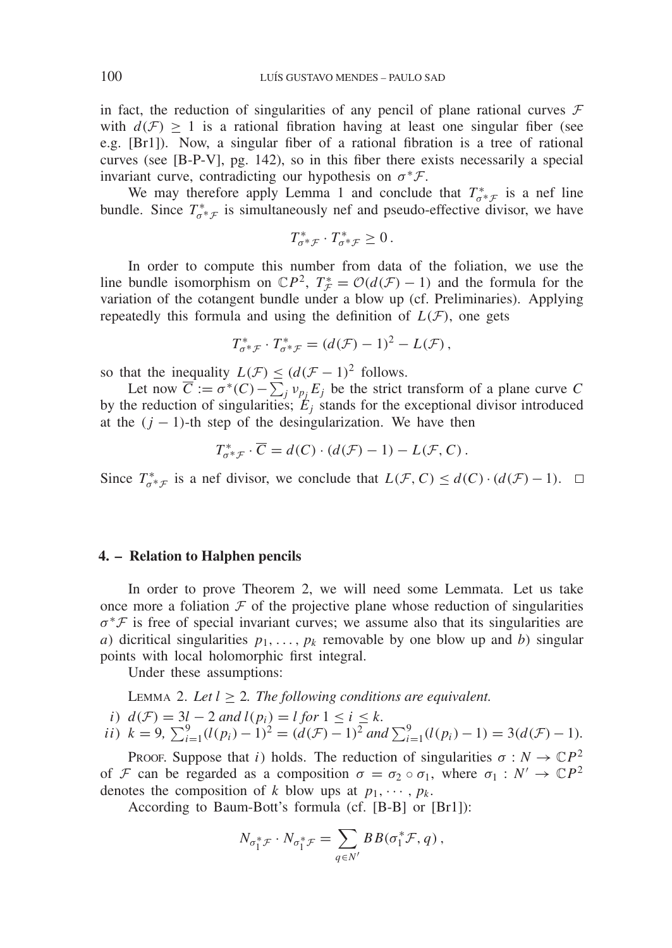in fact, the reduction of singularities of any pencil of plane rational curves  $\mathcal F$ with  $d(\mathcal{F}) > 1$  is a rational fibration having at least one singular fiber (see e.g. [Br1]). Now, a singular fiber of a rational fibration is a tree of rational curves (see [B-P-V], pg. 142), so in this fiber there exists necessarily a special invariant curve, contradicting our hypothesis on  $\sigma^* \mathcal{F}$ .

We may therefore apply Lemma 1 and conclude that  $T^*_{\sigma^* \mathcal{F}}$  is a nef line bundle. Since  $T^*_{\sigma^*\mathcal{F}}$  is simultaneously nef and pseudo-effective divisor, we have

$$
T^*_{\sigma^* \mathcal{F}} \cdot T^*_{\sigma^* \mathcal{F}} \geq 0.
$$

In order to compute this number from data of the foliation, we use the line bundle isomorphism on  $\mathbb{C}P^2$ ,  $T^* = \mathcal{O}(d(\mathcal{F}) - 1)$  and the formula for the variation of the cotangent bundle under a blow up (cf. Preliminaries). Applying repeatedly this formula and using the definition of  $L(\mathcal{F})$ , one gets

$$
T^*_{\sigma^*\mathcal{F}} \cdot T^*_{\sigma^*\mathcal{F}} = (d(\mathcal{F}) - 1)^2 - L(\mathcal{F}),
$$

so that the inequality  $L(F) \leq (d(F-1)^2)$  follows.

Let now  $\overline{C} := \sigma^*(C) - \sum_j v_{p_j} E_j$  be the strict transform of a plane curve *C* by the reduction of singularities;  $E_j$  stands for the exceptional divisor introduced at the  $(j - 1)$ -th step of the desingularization. We have then

$$
T_{\sigma^* \mathcal{F}}^* \cdot \overline{C} = d(C) \cdot (d(\mathcal{F}) - 1) - L(\mathcal{F}, C).
$$

Since  $T^*_{\sigma^*\mathcal{F}}$  is a nef divisor, we conclude that  $L(\mathcal{F}, C) \leq d(C) \cdot (d(\mathcal{F}) - 1)$ .

# **4. – Relation to Halphen pencils**

In order to prove Theorem 2, we will need some Lemmata. Let us take once more a foliation  $F$  of the projective plane whose reduction of singularities  $\sigma^*$ F is free of special invariant curves; we assume also that its singularities are *a*) dicritical singularities  $p_1, \ldots, p_k$  removable by one blow up and *b*) singular points with local holomorphic first integral.

Under these assumptions:

LEMMA 2. Let  $l \geq 2$ . The following conditions are equivalent.

i) 
$$
d(\mathcal{F}) = 3l - 2
$$
 and  $l(p_i) = l$  for  $1 \le i \le k$ .

*ii)* 
$$
k = 9
$$
,  $\sum_{i=1}^{9} (l(p_i) - 1)^2 = (d(\mathcal{F}) - 1)^2$  and  $\sum_{i=1}^{9} (l(p_i) - 1) = 3(d(\mathcal{F}) - 1)$ .

Proof. Suppose that *i*) holds. The reduction of singularities  $\sigma : N \to \mathbb{C}P^2$ of F can be regarded as a composition  $\sigma = \sigma_2 \circ \sigma_1$ , where  $\sigma_1 : N' \to \mathbb{C}P^2$ denotes the composition of *k* blow ups at  $p_1, \dots, p_k$ .

According to Baum-Bott's formula (cf. [B-B] or [Br1]):

$$
N_{\sigma_1^* \mathcal{F}} \cdot N_{\sigma_1^* \mathcal{F}} = \sum_{q \in N'} BB(\sigma_1^* \mathcal{F}, q),
$$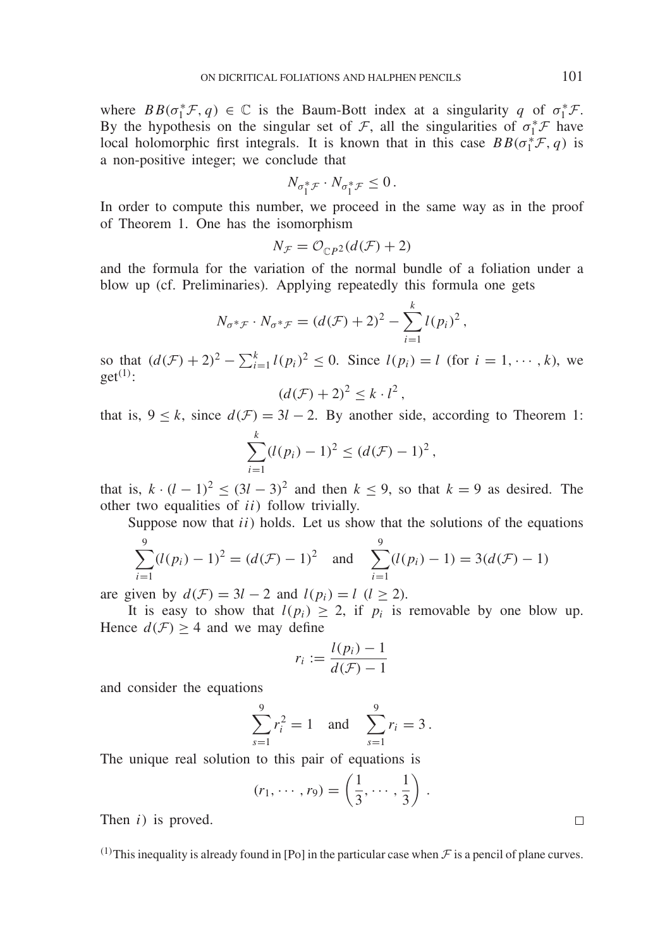where  $BB(\sigma_1^* \mathcal{F}, q) \in \mathbb{C}$  is the Baum-Bott index at a singularity *q* of  $\sigma_1^* \mathcal{F}$ . By the hypothesis on the singular set of  $\mathcal{F}$ , all the singularities of  $\sigma_1^* \mathcal{F}$  have local holomorphic first integrals. It is known that in this case  $BB(\sigma_1^* \mathcal{F}, q)$  is a non-positive integer; we conclude that

$$
N_{\sigma_1^* \mathcal{F}} \cdot N_{\sigma_1^* \mathcal{F}} \leq 0.
$$

In order to compute this number, we proceed in the same way as in the proof of Theorem 1. One has the isomorphism

$$
N_{\mathcal{F}} = \mathcal{O}_{\mathbb{C}P^2}(d(\mathcal{F}) + 2)
$$

and the formula for the variation of the normal bundle of a foliation under a blow up (cf. Preliminaries). Applying repeatedly this formula one gets

$$
N_{\sigma^* \mathcal{F}} \cdot N_{\sigma^* \mathcal{F}} = (d(\mathcal{F}) + 2)^2 - \sum_{i=1}^k l(p_i)^2,
$$

so that  $(d(\mathcal{F}) + 2)^2 - \sum_{i=1}^k l(p_i)^2 \le 0$ . Since  $l(p_i) = l$  (for  $i = 1, \dots, k$ ), we  $get^{(1)}$ :

$$
\left(d(\mathcal{F})+2\right)^2\leq k\cdot l^2\,,
$$

that is,  $9 \le k$ , since  $d(\mathcal{F}) = 3l - 2$ . By another side, according to Theorem 1:

$$
\sum_{i=1}^{k} (l(p_i) - 1)^2 \le (d(\mathcal{F}) - 1)^2,
$$

that is,  $k \cdot (l-1)^2 \le (3l-3)^2$  and then  $k \le 9$ , so that  $k=9$  as desired. The other two equalities of *ii*) follow trivially.

Suppose now that *ii*) holds. Let us show that the solutions of the equations

$$
\sum_{i=1}^{9} (l(p_i) - 1)^2 = (d(\mathcal{F}) - 1)^2 \text{ and } \sum_{i=1}^{9} (l(p_i) - 1) = 3(d(\mathcal{F}) - 1)
$$

are given by  $d(F) = 3l - 2$  and  $l(p_i) = l$  ( $l \ge 2$ ).

It is easy to show that  $l(p_i) \geq 2$ , if  $p_i$  is removable by one blow up. Hence  $d(F) > 4$  and we may define

$$
r_i := \frac{l(p_i) - 1}{d(\mathcal{F}) - 1}
$$

and consider the equations

$$
\sum_{s=1}^{9} r_i^2 = 1 \text{ and } \sum_{s=1}^{9} r_i = 3 \, .
$$

The unique real solution to this pair of equations is

$$
(r_1,\cdots,r_9)=\left(\frac{1}{3},\cdots,\frac{1}{3}\right).
$$

Then *i*) is proved.

<sup>(1)</sup>This inequality is already found in [Po] in the particular case when  $\mathcal F$  is a pencil of plane curves.

 $\Box$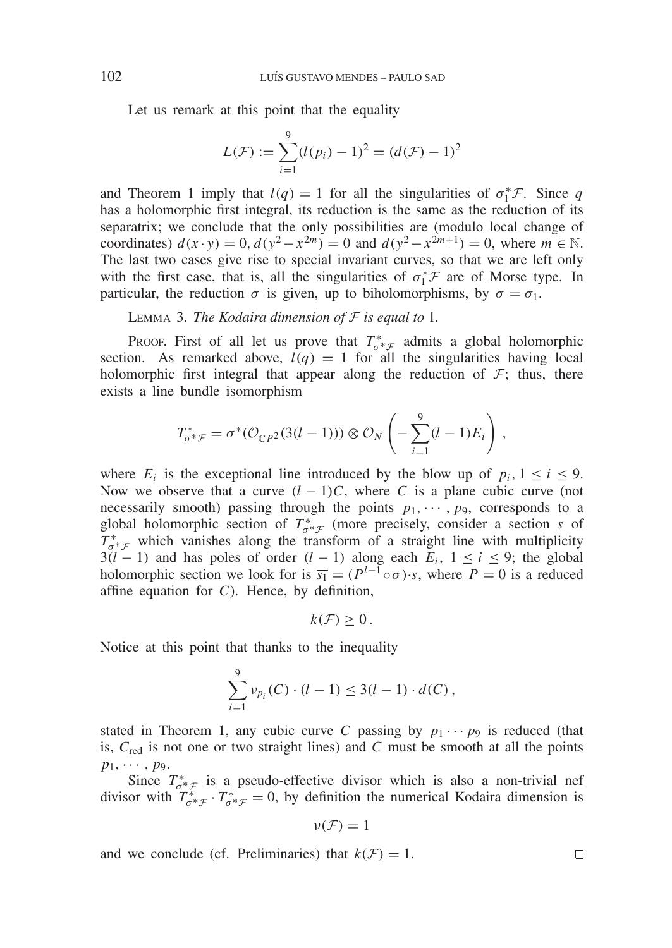Let us remark at this point that the equality

$$
L(\mathcal{F}) := \sum_{i=1}^{9} (l(p_i) - 1)^2 = (d(\mathcal{F}) - 1)^2
$$

and Theorem 1 imply that  $l(q) = 1$  for all the singularities of  $\sigma_1^* \mathcal{F}$ . Since *q* has a holomorphic first integral, its reduction is the same as the reduction of its separatrix; we conclude that the only possibilities are (modulo local change of coordinates)  $d(x \cdot y) = 0$ ,  $d(y^2 - x^{2m}) = 0$  and  $d(y^2 - x^{2m+1}) = 0$ , where  $m \in \mathbb{N}$ . The last two cases give rise to special invariant curves, so that we are left only with the first case, that is, all the singularities of  $\sigma_1^*$  are of Morse type. In particular, the reduction  $\sigma$  is given, up to biholomorphisms, by  $\sigma = \sigma_1$ .

Lemma 3. *The Kodaira dimension of* F *is equal to* 1*.*

Proof. First of all let us prove that  $T^*_{\sigma^*\mathcal{F}}$  admits a global holomorphic section. As remarked above,  $l(q) = 1$  for all the singularities having local holomorphic first integral that appear along the reduction of  $\mathcal{F}$ ; thus, there exists a line bundle isomorphism

$$
T_{\sigma^* \mathcal{F}}^* = \sigma^* (\mathcal{O}_{\mathbb{C}P^2}(3(l-1))) \otimes \mathcal{O}_N \left( -\sum_{i=1}^9 (l-1) E_i \right),
$$

where  $E_i$  is the exceptional line introduced by the blow up of  $p_i$ ,  $1 \le i \le 9$ . Now we observe that a curve  $(l-1)C$ , where *C* is a plane cubic curve (not necessarily smooth) passing through the points  $p_1, \dots, p_9$ , corresponds to a global holomorphic section of  $T^*_{\sigma^*\mathcal{F}}$  (more precisely, consider a section *s* of  $T^*_{\sigma^* \mathcal{F}}$  which vanishes along the transform of a straight line with multiplicity 3(*l* − 1) and has poles of order (*l* − 1) along each  $E_i$ , 1 ≤ *i* ≤ 9; the global holomorphic section we look for is  $\overline{s_1} = (P^{l-1} \circ \sigma) \cdot s$ , where  $P = 0$  is a reduced affine equation for *C*). Hence, by definition,

 $k(\mathcal{F}) \geq 0$ .

Notice at this point that thanks to the inequality

$$
\sum_{i=1}^{9} \nu_{p_i}(C) \cdot (l-1) \leq 3(l-1) \cdot d(C),
$$

stated in Theorem 1, any cubic curve C passing by  $p_1 \cdots p_9$  is reduced (that is,  $C_{\text{red}}$  is not one or two straight lines) and  $C$  must be smooth at all the points  $p_1, \cdots, p_9.$ 

Since  $T^*_{\sigma^* \mathcal{F}}$  is a pseudo-effective divisor which is also a non-trivial nef divisor with  $T^*_{\sigma^*\mathcal{F}} \cdot T^*_{\sigma^*\mathcal{F}} = 0$ , by definition the numerical Kodaira dimension is

$$
\nu(\mathcal{F})=1
$$

and we conclude (cf. Preliminaries) that  $k(\mathcal{F}) = 1$ .

 $\Box$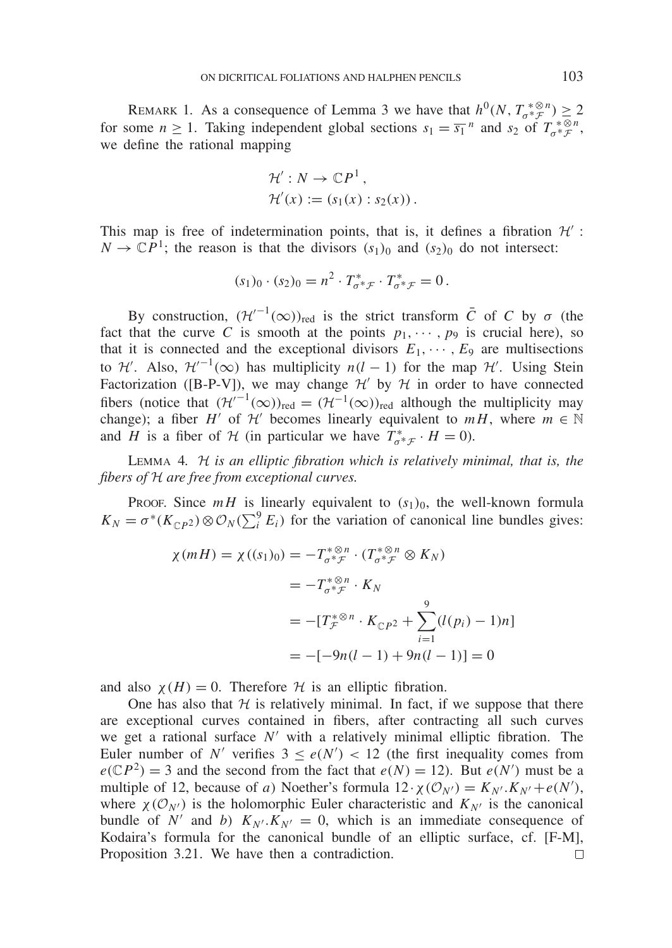REMARK 1. As a consequence of Lemma 3 we have that  $h^0(N, T_{\sigma^* \mathcal{F}}^{\sigma^* \otimes n}) \geq 2$ for some  $n \ge 1$ . Taking independent global sections  $s_1 = \overline{s_1}^n$  and  $s_2$  of  $T_o^* \mathcal{F}^n$ , we define the rational mapping

$$
\mathcal{H}': N \to \mathbb{C}P^1,
$$
  

$$
\mathcal{H}'(x) := (s_1(x) : s_2(x)).
$$

This map is free of indetermination points, that is, it defines a fibration  $\mathcal{H}'$ :  $N \to \mathbb{C}P^1$ ; the reason is that the divisors  $(s_1)_0$  and  $(s_2)_0$  do not intersect:

$$
(s_1)_0 \cdot (s_2)_0 = n^2 \cdot T^*_{\sigma^* \mathcal{F}} \cdot T^*_{\sigma^* \mathcal{F}} = 0 \,.
$$

By construction,  $(\mathcal{H}'^{-1}(\infty))_{\text{red}}$  is the strict transform  $\overline{C}$  of *C* by  $\sigma$  (the fact that the curve *C* is smooth at the points  $p_1, \dots, p_9$  is crucial here), so that it is connected and the exceptional divisors  $E_1, \dots, E_9$  are multisections to  $\mathcal{H}'$ . Also,  $\mathcal{H}'^{-1}(\infty)$  has multiplicity  $n(l-1)$  for the map  $\mathcal{H}'$ . Using Stein Factorization ([B-P-V]), we may change  $\mathcal{H}'$  by  $\mathcal{H}$  in order to have connected fibers (notice that  $(\mathcal{H}'^{-1}(\infty))_{\text{red}} = (\mathcal{H}^{-1}(\infty))_{\text{red}}$  although the multiplicity may change); a fiber *H'* of  $H'$  becomes linearly equivalent to  $mH$ , where  $m \in \mathbb{N}$ and *H* is a fiber of *H* (in particular we have  $T^*_{\sigma^* \mathcal{F}} \cdot H = 0$ ).

Lemma 4. H *is an elliptic fibration which is relatively minimal, that is, the fibers of* H *are free from exceptional curves.*

Proof. Since  $mH$  is linearly equivalent to  $(s_1)_0$ , the well-known formula  $K_N = \sigma^*(K_{\mathbb{C}P^2}) \otimes \mathcal{O}_N(\sum_i^9 E_i)$  for the variation of canonical line bundles gives:

$$
\chi(mH) = \chi((s_1)_0) = -T_{\sigma^* \mathcal{F}}^{*\otimes n} \cdot (T_{\sigma^* \mathcal{F}}^{*\otimes n} \otimes K_N)
$$
  
=  $-T_{\sigma^* \mathcal{F}}^{*\otimes n} \cdot K_N$   
=  $-[T_{\mathcal{F}}^{*\otimes n} \cdot K_{\mathbb{C}P^2} + \sum_{i=1}^9 (l(p_i) - 1)n]$   
=  $-[-9n(l - 1) + 9n(l - 1)] = 0$ 

and also  $\chi(H) = 0$ . Therefore H is an elliptic fibration.

One has also that  $H$  is relatively minimal. In fact, if we suppose that there are exceptional curves contained in fibers, after contracting all such curves we get a rational surface  $N'$  with a relatively minimal elliptic fibration. The Euler number of *N'* verifies  $3 \le e(N') < 12$  (the first inequality comes from  $e(\mathbb{C}P^2) = 3$  and the second from the fact that  $e(N) = 12$ ). But  $e(N')$  must be a multiple of 12, because of *a*) Noether's formula  $12 \cdot \chi(\mathcal{O}_{N'}) = K_{N'} \cdot K_{N'} + e(N')$ , where  $\chi(\mathcal{O}_{N'})$  is the holomorphic Euler characteristic and  $K_{N'}$  is the canonical bundle of *N'* and *b*)  $K_{N'}$ . $K_{N'} = 0$ , which is an immediate consequence of Kodaira's formula for the canonical bundle of an elliptic surface, cf. [F-M], Proposition 3.21. We have then a contradiction. $\Box$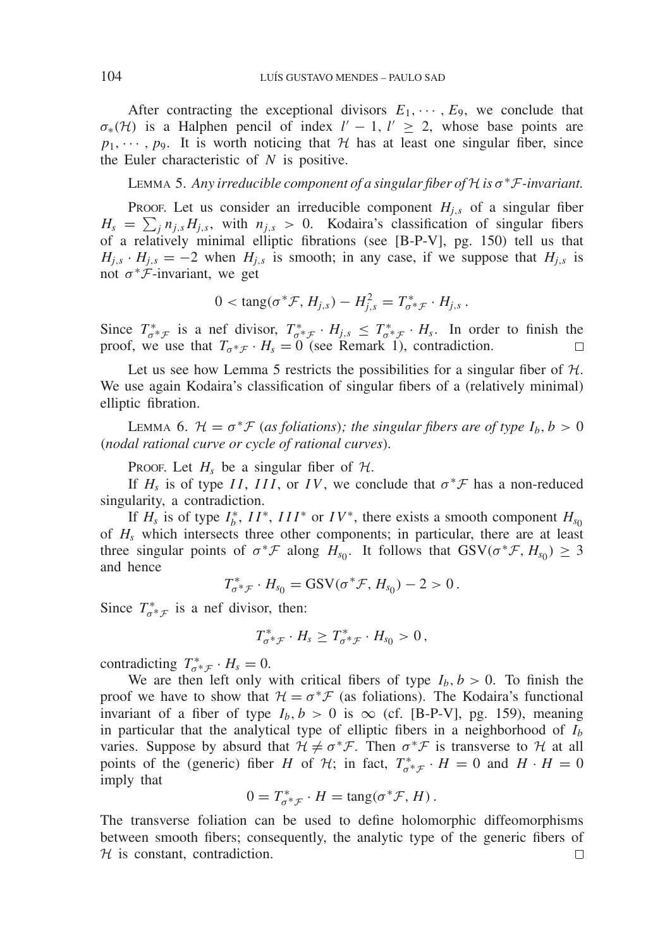After contracting the exceptional divisors  $E_1, \dots, E_9$ , we conclude that  $\sigma_*(\mathcal{H})$  is a Halphen pencil of index  $l' - 1$ ,  $l' \geq 2$ , whose base points are  $p_1, \dots, p_9$ . It is worth noticing that H has at least one singular fiber, since the Euler characteristic of *N* is positive.

Lemma 5. *Any irreducible component of a singular fiber of* <sup>H</sup> *is* <sup>σ</sup>∗F*-invariant.*

Proof. Let us consider an irreducible component  $H_{j,s}$  of a singular fiber  $H_s = \sum_j n_{j,s} H_{j,s}$ , with  $n_{j,s} > 0$ . Kodaira's classification of singular fibers of a relatively minimal elliptic fibrations (see [B-P-V], pg. 150) tell us that  $H_{i,s} \cdot H_{i,s} = -2$  when  $H_{i,s}$  is smooth; in any case, if we suppose that  $H_{i,s}$  is not  $\sigma^* \mathcal{F}$ -invariant, we get

$$
0 < \tan g(\sigma^* \mathcal{F}, H_{j,s}) - H_{j,s}^2 = T_{\sigma^* \mathcal{F}}^* \cdot H_{j,s} \, .
$$

Since  $T^*_{\sigma^*\mathcal{F}}$  is a nef divisor,  $T^*_{\sigma^*\mathcal{F}} \cdot H_{j,s} \leq T^*_{\sigma^*\mathcal{F}} \cdot H_s$ . In order to finish the proof, we use that  $T_{\sigma^* \mathcal{F}} \cdot H_s = 0$  (see Remark 1), contradiction.

Let us see how Lemma 5 restricts the possibilities for a singular fiber of  $H$ . We use again Kodaira's classification of singular fibers of a (relatively minimal) elliptic fibration.

LEMMA 6.  $\mathcal{H} = \sigma^* \mathcal{F}$  (*as foliations*)*; the singular fibers are of type*  $I_b$ ,  $b > 0$ (*nodal rational curve or cycle of rational curves*)*.*

Proof. Let  $H_s$  be a singular fiber of  $H_s$ .

If  $H_s$  is of type *II*, *III*, or *IV*, we conclude that  $\sigma^* \mathcal{F}$  has a non-reduced singularity, a contradiction.

If  $H_s$  is of type  $I_b^*$ ,  $II^*$ ,  $III^*$  or  $IV^*$ , there exists a smooth component  $H_{s_0}$ of *Hs* which intersects three other components; in particular, there are at least three singular points of  $\sigma^* \mathcal{F}$  along  $H_{s_0}$ . It follows that  $GSV(\sigma^* \mathcal{F}, H_{s_0}) \geq 3$ and hence

$$
T^*_{\sigma^*\mathcal{F}}\cdot H_{s_0} = \text{GSV}(\sigma^*\mathcal{F}, H_{s_0}) - 2 > 0.
$$

Since  $T^*_{\sigma^*\mathcal{F}}$  is a nef divisor, then:

$$
T^*_{\sigma^* \mathcal{F}} \cdot H_s \geq T^*_{\sigma^* \mathcal{F}} \cdot H_{s_0} > 0,
$$

contradicting  $T^*_{\sigma^*\mathcal{F}} \cdot H_s = 0.$ <br>W

We are then left only with critical fibers of type  $I_b$ ,  $b > 0$ . To finish the proof we have to show that  $H = \sigma^* \mathcal{F}$  (as foliations). The Kodaira's functional invariant of a fiber of type  $I_b$ ,  $b > 0$  is  $\infty$  (cf. [B-P-V], pg. 159), meaning in particular that the analytical type of elliptic fibers in a neighborhood of  $I<sub>b</sub>$ varies. Suppose by absurd that  $H \neq \sigma^* \mathcal{F}$ . Then  $\sigma^* \mathcal{F}$  is transverse to H at all points of the (generic) fiber *H* of  $H$ ; in fact,  $T^*_{\sigma^*\mathcal{F}} \cdot H = 0$  and  $H \cdot H = 0$ imply that

$$
0 = T^*_{\sigma^* \mathcal{F}} \cdot H = \tan(\sigma^* \mathcal{F}, H).
$$

The transverse foliation can be used to define holomorphic diffeomorphisms between smooth fibers; consequently, the analytic type of the generic fibers of  $H$  is constant, contradiction.  $\Box$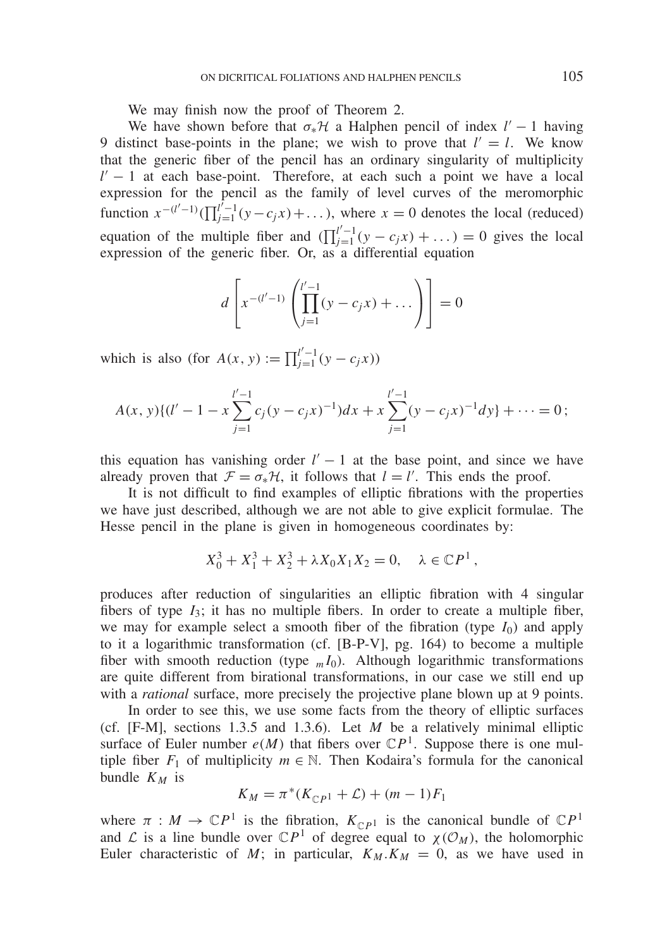We may finish now the proof of Theorem 2.

We have shown before that  $\sigma_*\mathcal{H}$  a Halphen pencil of index  $l' - 1$  having 9 distinct base-points in the plane; we wish to prove that  $l' = l$ . We know that the generic fiber of the pencil has an ordinary singularity of multiplicity *l'* − 1 at each base-point. Therefore, at each such a point we have a local expression for the pencil as the family of level curves of the meromorphic function  $x^{-(l'-1)}(\prod_{j=1}^{l'-1} (y-c_jx)+...),$  where  $x=0$  denotes the local (reduced) equation of the multiple fiber and  $(\prod_{j=1}^{l'-1} (y - c_j x) + ...) = 0$  gives the local expression of the generic fiber. Or, as a differential equation

$$
d\left[x^{-(l'-1)}\left(\prod_{j=1}^{l'-1}(y-c_jx)+\dots\right)\right]=0
$$

which is also (for  $A(x, y) := \prod_{j=1}^{l'-1} (y - c_j x)$ )

$$
A(x, y)\{(l'-1-x\sum_{j=1}^{l'-1}c_j(y-c_jx)^{-1})dx + x\sum_{j=1}^{l'-1}(y-c_jx)^{-1}dy\} + \cdots = 0;
$$

this equation has vanishing order  $l' - 1$  at the base point, and since we have already proven that  $\mathcal{F} = \sigma_* \mathcal{H}$ , it follows that  $l = l'$ . This ends the proof.

It is not difficult to find examples of elliptic fibrations with the properties we have just described, although we are not able to give explicit formulae. The Hesse pencil in the plane is given in homogeneous coordinates by:

$$
X_0^3 + X_1^3 + X_2^3 + \lambda X_0 X_1 X_2 = 0, \quad \lambda \in \mathbb{C}P^1,
$$

produces after reduction of singularities an elliptic fibration with 4 singular fibers of type  $I_3$ ; it has no multiple fibers. In order to create a multiple fiber, we may for example select a smooth fiber of the fibration (type  $I_0$ ) and apply to it a logarithmic transformation (cf. [B-P-V], pg. 164) to become a multiple fiber with smooth reduction (type  $_m I_0$ ). Although logarithmic transformations are quite different from birational transformations, in our case we still end up with a *rational* surface, more precisely the projective plane blown up at 9 points.

In order to see this, we use some facts from the theory of elliptic surfaces (cf. [F-M], sections 1.3.5 and 1.3.6). Let *M* be a relatively minimal elliptic surface of Euler number  $e(M)$  that fibers over  $\mathbb{C}P<sup>1</sup>$ . Suppose there is one multiple fiber  $F_1$  of multiplicity  $m \in \mathbb{N}$ . Then Kodaira's formula for the canonical bundle  $K_M$  is

$$
K_M = \pi^*(K_{\mathbb{C}P^1} + \mathcal{L}) + (m-1)F_1
$$

where  $\pi : M \to \mathbb{C}P^1$  is the fibration,  $K_{\mathbb{C}P^1}$  is the canonical bundle of  $\mathbb{C}P^1$ and  $\mathcal L$  is a line bundle over  $\mathbb C P^1$  of degree equal to  $\chi(\mathcal O_M)$ , the holomorphic Euler characteristic of *M*; in particular,  $K_M$   $\cdot$  *K<sub>M</sub>* = 0, as we have used in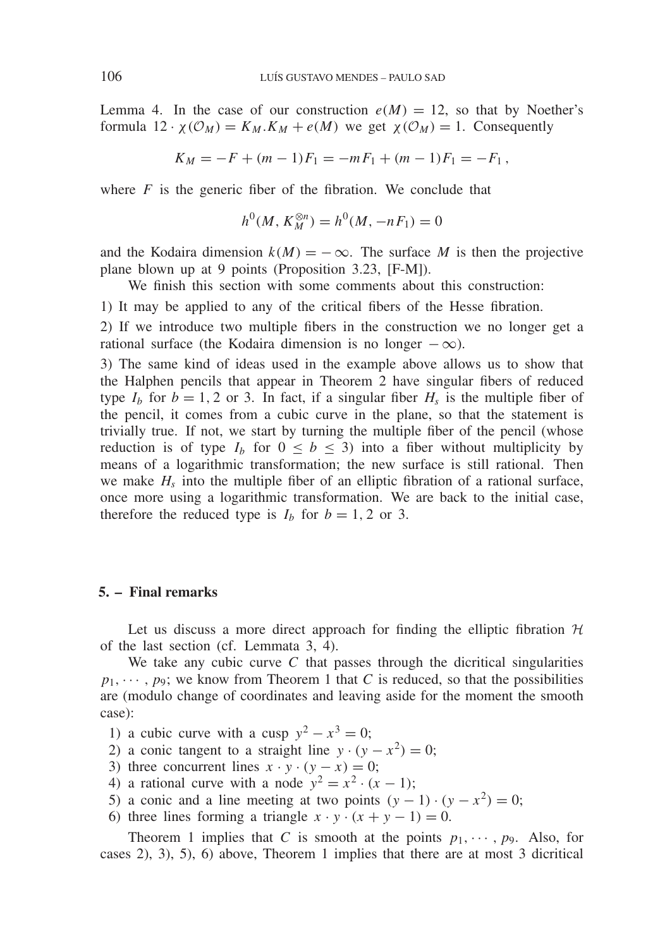Lemma 4. In the case of our construction  $e(M) = 12$ , so that by Noether's formula  $12 \cdot \chi(\mathcal{O}_M) = K_M.K_M + e(M)$  we get  $\chi(\mathcal{O}_M) = 1$ . Consequently

$$
K_M = -F + (m-1)F_1 = -mF_1 + (m-1)F_1 = -F_1,
$$

where  $F$  is the generic fiber of the fibration. We conclude that

$$
h^0(M, K_M^{\otimes n}) = h^0(M, -nF_1) = 0
$$

and the Kodaira dimension  $k(M) = -\infty$ . The surface M is then the projective plane blown up at 9 points (Proposition 3.23, [F-M]).

We finish this section with some comments about this construction:

1) It may be applied to any of the critical fibers of the Hesse fibration.

2) If we introduce two multiple fibers in the construction we no longer get a rational surface (the Kodaira dimension is no longer  $-\infty$ ).

3) The same kind of ideas used in the example above allows us to show that the Halphen pencils that appear in Theorem 2 have singular fibers of reduced type  $I_b$  for  $b = 1, 2$  or 3. In fact, if a singular fiber  $H_s$  is the multiple fiber of the pencil, it comes from a cubic curve in the plane, so that the statement is trivially true. If not, we start by turning the multiple fiber of the pencil (whose reduction is of type  $I_b$  for  $0 \leq b \leq 3$ ) into a fiber without multiplicity by means of a logarithmic transformation; the new surface is still rational. Then we make  $H_s$  into the multiple fiber of an elliptic fibration of a rational surface, once more using a logarithmic transformation. We are back to the initial case, therefore the reduced type is  $I_b$  for  $b = 1, 2$  or 3.

# **5. – Final remarks**

Let us discuss a more direct approach for finding the elliptic fibration  $H$ of the last section (cf. Lemmata 3, 4).

We take any cubic curve *C* that passes through the dicritical singularities  $p_1, \dots, p_9$ ; we know from Theorem 1 that *C* is reduced, so that the possibilities are (modulo change of coordinates and leaving aside for the moment the smooth case):

- 1) a cubic curve with a cusp  $y^2 x^3 = 0$ ;
- 2) a conic tangent to a straight line  $y \cdot (y x^2) = 0$ ;
- 3) three concurrent lines  $x \cdot y \cdot (y x) = 0$ ;
- 4) a rational curve with a node  $y^2 = x^2 \cdot (x 1)$ ;
- 5) a conic and a line meeting at two points  $(y 1) \cdot (y x^2) = 0$ ;
- 6) three lines forming a triangle  $x \cdot y \cdot (x + y 1) = 0$ .

Theorem 1 implies that *C* is smooth at the points  $p_1, \dots, p_9$ . Also, for cases 2), 3), 5), 6) above, Theorem 1 implies that there are at most 3 dicritical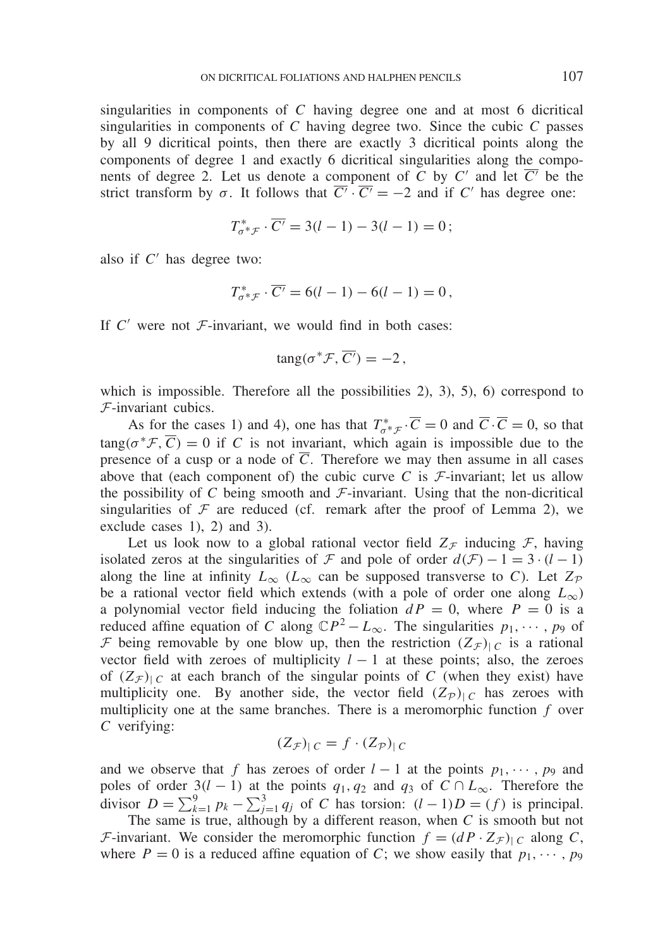singularities in components of *C* having degree one and at most 6 dicritical singularities in components of *C* having degree two. Since the cubic *C* passes by all 9 dicritical points, then there are exactly 3 dicritical points along the components of degree 1 and exactly 6 dicritical singularities along the components of degree 2. Let us denote a component of *C* by  $C'$  and let  $\overline{C'}$  be the strict transform by  $\sigma$ . It follows that  $\overline{C'} \cdot \overline{C'} = -2$  and if *C'* has degree one:

$$
T_{\sigma^* \mathcal{F}}^* \cdot \overline{C'} = 3(l-1) - 3(l-1) = 0;
$$

also if  $C'$  has degree two:

$$
T_{\sigma^* \mathcal{F}}^* \cdot \overline{C'} = 6(l-1) - 6(l-1) = 0,
$$

If  $C'$  were not  $\mathcal{F}$ -invariant, we would find in both cases:

$$
\tan g(\sigma^* \mathcal{F}, \overline{C'}) = -2,
$$

which is impossible. Therefore all the possibilities  $(2)$ ,  $(3)$ ,  $(5)$ ,  $(6)$  correspond to F-invariant cubics.

As for the cases 1) and 4), one has that  $T_{\sigma^* \mathcal{F}}^* \cdot \overline{C} = 0$  and  $\overline{C} \cdot \overline{C} = 0$ , so that  $\text{tang}(\sigma^* \mathcal{F}, \overline{C}) = 0$  if *C* is not invariant, which again is impossible due to the presence of a cusp or a node of  $\overline{C}$ . Therefore we may then assume in all cases above that (each component of) the cubic curve  $C$  is  $F$ -invariant; let us allow the possibility of  $C$  being smooth and  $\mathcal{F}$ -invariant. Using that the non-dicritical singularities of  $\mathcal F$  are reduced (cf. remark after the proof of Lemma 2), we exclude cases 1), 2) and 3).

Let us look now to a global rational vector field  $Z_{\mathcal{F}}$  inducing  $\mathcal{F}$ , having isolated zeros at the singularities of F and pole of order  $d(F) - 1 = 3 \cdot (l - 1)$ along the line at infinity  $L_{\infty}$  ( $L_{\infty}$  can be supposed transverse to *C*). Let  $Z_{\mathcal{P}}$ be a rational vector field which extends (with a pole of order one along  $L_{\infty}$ ) a polynomial vector field inducing the foliation  $dP = 0$ , where  $P = 0$  is a reduced affine equation of *C* along  $\mathbb{C}P^2 - L_{\infty}$ . The singularities  $p_1, \dots, p_9$  of F being removable by one blow up, then the restriction  $(Z_F)_{\vert C}$  is a rational vector field with zeroes of multiplicity  $l - 1$  at these points; also, the zeroes of  $(Z_{\mathcal{F}})_{\mathcal{C}}$  at each branch of the singular points of *C* (when they exist) have multiplicity one. By another side, the vector field  $(Z_{\mathcal{P}})_{\mathcal{C}}$  has zeroes with multiplicity one at the same branches. There is a meromorphic function *f* over *C* verifying:

$$
(Z_{\mathcal{F}})|_{C} = f \cdot (Z_{\mathcal{P}})|_{C}
$$

and we observe that *f* has zeroes of order  $l - 1$  at the points  $p_1, \dots, p_9$  and poles of order 3(*l* − 1) at the points  $q_1, q_2$  and  $q_3$  of  $C \cap L_{\infty}$ . Therefore the divisor  $D = \sum_{k=1}^{9} p_k - \sum_{j=1}^{3} q_j$  of *C* has torsion:  $(l-1)D = (f)$  is principal.

The same is true, although by a different reason, when *C* is smooth but not *F*-invariant. We consider the meromorphic function  $f = (dP \cdot Z_{\mathcal{F}})_{\mathcal{C}}$  along *C*, where  $P = 0$  is a reduced affine equation of *C*; we show easily that  $p_1, \dots, p_9$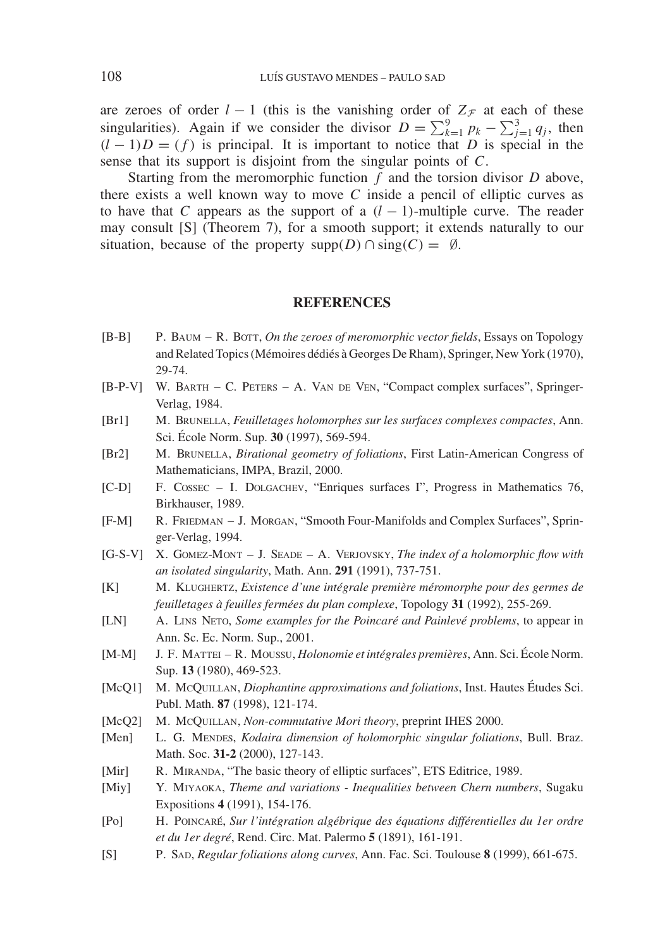are zeroes of order  $l - 1$  (this is the vanishing order of  $Z_{\mathcal{F}}$  at each of these singularities). Again if we consider the divisor  $D = \sum_{k=1}^{9} p_k - \sum_{j=1}^{3} q_j$ , then  $(l-1)D = (f)$  is principal. It is important to notice that *D* is special in the sense that its support is disjoint from the singular points of *C*.

Starting from the meromorphic function *f* and the torsion divisor *D* above, there exists a well known way to move *C* inside a pencil of elliptic curves as to have that *C* appears as the support of a  $(l-1)$ -multiple curve. The reader may consult [S] (Theorem 7), for a smooth support; it extends naturally to our situation, because of the property supp $(D) \cap \text{sing}(C) = \emptyset$ .

# **REFERENCES**

- [B-B] P. Baum R. Bott, *On the zeroes of meromorphic vector fields*, Essays on Topology and Related Topics (Mémoires dédiés à Georges De Rham), Springer, New York (1970), 29-74.
- [B-P-V] W. Barth C. Peters A. Van de Ven, "Compact complex surfaces", Springer-Verlag, 1984.
- [Br1] M. Brunella, *Feuilletages holomorphes sur les surfaces complexes compactes*, Ann. Sci. École Norm. Sup. 30 (1997), 569-594.
- [Br2] M. Brunella, *Birational geometry of foliations*, First Latin-American Congress of Mathematicians, IMPA, Brazil, 2000.
- [C-D] F. Cossec I. Dolgachev, "Enriques surfaces I", Progress in Mathematics 76, Birkhauser, 1989.
- [F-M] R. Friedman J. Morgan, "Smooth Four-Manifolds and Complex Surfaces", Springer-Verlag, 1994.
- [G-S-V] X. Gomez-Mont J. Seade A. Verjovsky, *The index of a holomorphic flow with an isolated singularity*, Math. Ann. **291** (1991), 737-751.
- [K] M. Klughertz, *Existence d'une integrale premi ´ ere m ` eromorphe pour des germes de ´ feuilletages a` feuilles fermees du plan complexe ´* , Topology **31** (1992), 255-269.
- [LN] A. Lins Neto, *Some examples for the Poincare´ and Painleve p ´ roblems*, to appear in Ann. Sc. Ec. Norm. Sup., 2001.
- [M-M] J. F. Mattei R. Moussu, *Holonomie et integrales premi ´ eres `* , Ann. Sci. Ecole Norm. ´ Sup. **13** (1980), 469-523.
- [McQ1] M. McQUILLAN, *Diophantine approximations and foliations*, Inst. Hautes Études Sci. Publ. Math. **87** (1998), 121-174.
- [McQ2] M. McQUILLAN, *Non-commutative Mori theory*, preprint IHES 2000.
- [Men] L. G. MENDES, *Kodaira dimension of holomorphic singular foliations*, Bull. Braz. Math. Soc. **31-2** (2000), 127-143.
- [Mir] R. MIRANDA, "The basic theory of elliptic surfaces", ETS Editrice, 1989.
- [Miy] Y. Miyaoka, *Theme and variations Inequalities between Chern numbers*, Sugaku Expositions **4** (1991), 154-176.
- [Po] H. Poincare´, *Sur l'integration alg ´ ebrique des ´ equations diff ´ erentielles du 1er ordre ´ et du 1er degre´*, Rend. Circ. Mat. Palermo **5** (1891), 161-191.
- [S] P. Sad, *Regular foliations along curves*, Ann. Fac. Sci. Toulouse **8** (1999), 661-675.